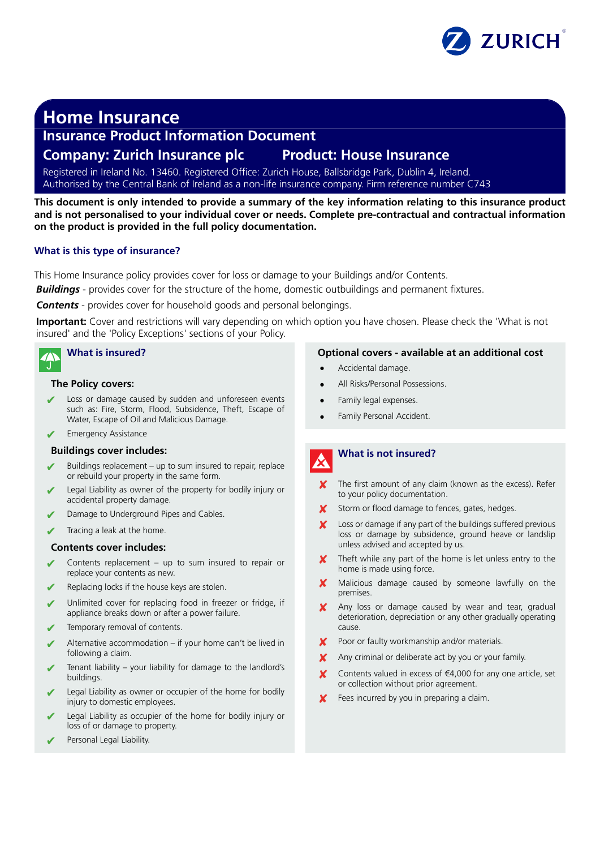

# **Home Insurance**

## **Insurance Product Information Document**

## **Company: Zurich Insurance plc Product: House Insurance**

Registered in Ireland No. 13460. Registered Office: Zurich House, Ballsbridge Park, Dublin 4, Ireland. Authorised by the Central Bank of Ireland as a non-life insurance company. Firm reference number C743

**This document is only intended to provide a summary of the key information relating to this insurance product and is not personalised to your individual cover or needs. Complete pre-contractual and contractual information on the product is provided in the full policy documentation.**

## **What is this type of insurance?**

This Home Insurance policy provides cover for loss or damage to your Buildings and/or Contents.

**Buildings** - provides cover for the structure of the home, domestic outbuildings and permanent fixtures.

*Contents* - provides cover for household goods and personal belongings.

**Important:** Cover and restrictions will vary depending on which option you have chosen. Please check the 'What is not insured' and the 'Policy Exceptions' sections of your Policy.

## **What is insured?**

### **The Policy covers:**

- Loss or damage caused by sudden and unforeseen events such as: Fire, Storm, Flood, Subsidence, Theft, Escape of Water, Escape of Oil and Malicious Damage.
- **Emergency Assistance**

## **Buildings cover includes:**

- Buildings replacement up to sum insured to repair, replace or rebuild your property in the same form.
- Legal Liability as owner of the property for bodily injury or accidental property damage.
- Damage to Underground Pipes and Cables.
- Tracing a leak at the home.

### **Contents cover includes:**

- Contents replacement up to sum insured to repair or replace your contents as new.
- Replacing locks if the house keys are stolen.
- Unlimited cover for replacing food in freezer or fridge, if appliance breaks down or after a power failure.
- Temporary removal of contents.
- Alternative accommodation if your home can't be lived in following a claim.
- ✔ Tenant liability your liability for damage to the landlord's buildings.
- Legal Liability as owner or occupier of the home for bodily injury to domestic employees.
- Legal Liability as occupier of the home for bodily injury or loss of or damage to property.
- Personal Legal Liability.

### **Optional covers - available at an additional cost**

- Accidental damage.
- All Risks/Personal Possessions.
- Family legal expenses.
- Family Personal Accident.

# **What is not insured?**

- The first amount of any claim (known as the excess). Refer to your policy documentation.
- Storm or flood damage to fences, gates, hedges.
- ✘ Loss or damage if any part of the buildings suffered previous loss or damage by subsidence, ground heave or landslip unless advised and accepted by us.
- Theft while any part of the home is let unless entry to the home is made using force.
- Malicious damage caused by someone lawfully on the premises.
- Any loss or damage caused by wear and tear, gradual deterioration, depreciation or any other gradually operating cause.
- ✘ Poor or faulty workmanship and/or materials.
- Any criminal or deliberate act by you or your family.
- Contents valued in excess of €4,000 for any one article, set or collection without prior agreement.
- Fees incurred by you in preparing a claim.